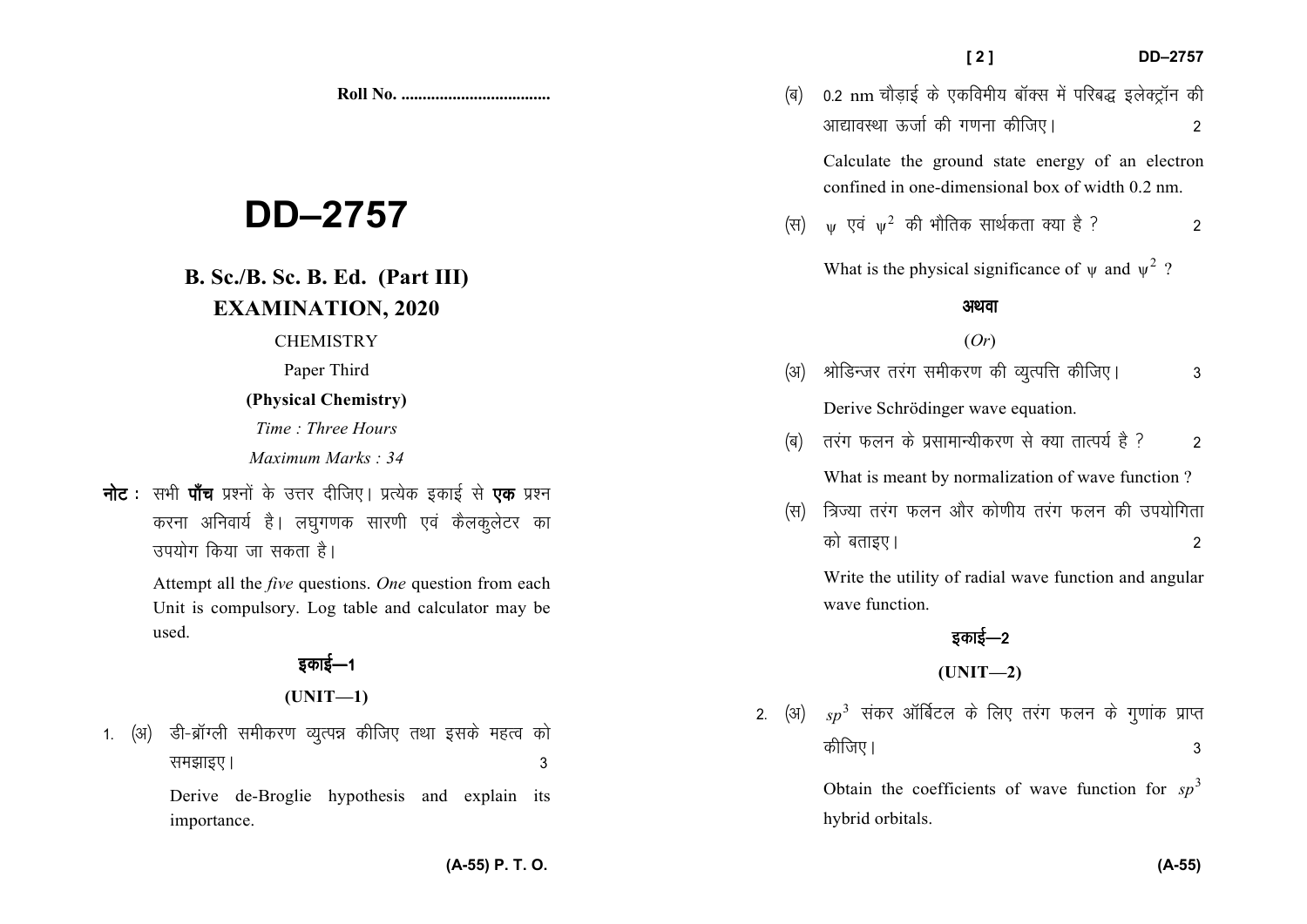**Roll No. ...................................** 

# **DD–2757**

# **B. Sc./B. Sc. B. Ed. (Part III)EXAMINATION, 2020**

**CHEMISTRY** 

Paper Third

## **(Physical Chemistry)**

*Time : Three Hours* 

*Maximum Marks : 34*

**नोट** : सभी **पॉच** प्रश्नों के उत्तर दीजिए। प्रत्येक इकाई से **एक** प्रश्न करना अनिवार्य है। लघुगणक सारणी एवं कैलकुलेटर का उपयोग किया जा सकता है।

> Attempt all the *five* questions. *One* question from each Unit is compulsory. Log table and calculator may beused.

## इकाई—1

**(UNIT—1)** 

1. (अ) डी-ब्रॉग्ली समीकरण व्युत्पन्न कीजिए तथा इसके महत्व को le>kb,A 3

> Derive de-Broglie hypothesis and explain its importance.

vk|koLFkk ÅtkZ dh x.kuk dhft,A 2 Calculate the ground state energy of an electron confined in one-dimensional box of width 0.2 nm.

(ब) 0.2 nm चौडाई के एकविमीय बॉक्स में परिबद्ध इलेक्ट्रॉन की

 $(\vec{r}$  साथिक आर्थिकता क्या है ?

What is the physical significance of  $\psi$  and  $\psi^2$ ?

## अथवा

## (*Or*)

- ¼v½ JksfMUtj rjax lehdj.k dh O;qRifŸk dhft,A 3 Derive Schrödinger wave equation.
- (ब) तरंग फलन के प्रसामान्यीकरण से क्या तात्पर्य है ? 2 What is meant by normalization of wave function ?
- (स) त्रिज्या तरंग फलन और कोणीय तरंग फलन की उपयोगिता को बताइए।  $\overline{a}$

Write the utility of radial wave function and angular wave function.

## डकाई—2

## **(UNIT—2)**

2. (अ)  $sp^3$  संकर ऑर्बिटल के लिए तरंग फलन के गुणांक प्राप्त dhft,A 3

> Obtain the coefficients of wave function for  $sp^3$ hybrid orbitals.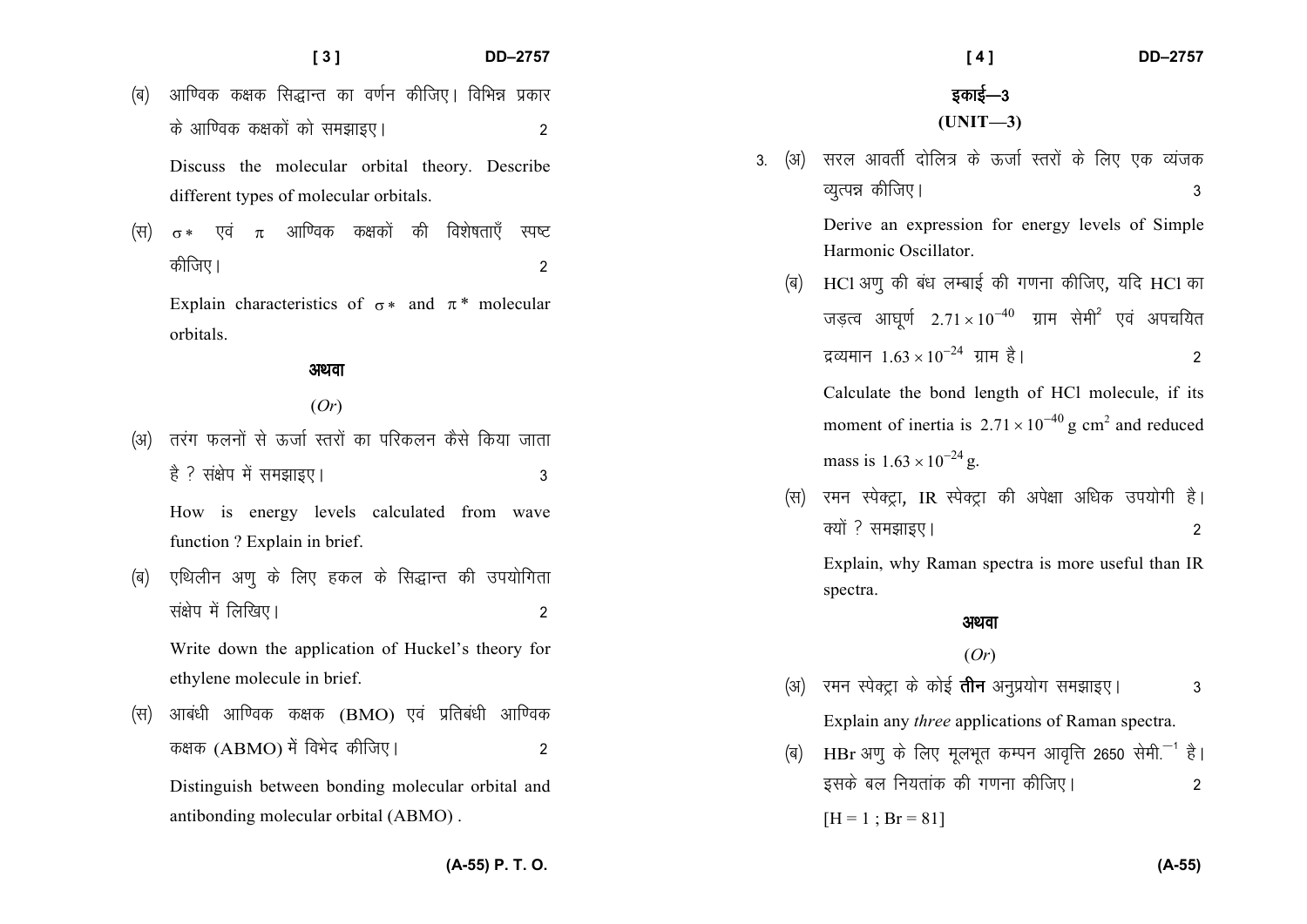#### **[ 3 ] DD–2757**

- (ब) आण्विक कक्षक सिद्धान्त का वर्णन कीजिए। विभिन्न प्रकार ds vkf.od d{kdksa dks le>kb,A 2 Discuss the molecular orbital theory. Describe different types of molecular orbitals.
- (स)  $\sigma *$  एवं  $\pi$  आण्विक कक्षकों की विशेषताएँ स्पष्ट कीजिए ।  $\overline{A}$  2

Explain characteristics of  $\sigma^*$  and  $\pi^*$  molecular orbitals.

#### अथवा

### (*Or*)

(अ) तरंग फलनों से ऊर्जा स्तरों का परिकलन कैसे किया जाता है ? संक्षेप में समझाइए।<br>3

How is energy levels calculated from wave function ? Explain in brief.

(ब) एथिलीन अणु के लिए हकल के सिद्धान्त की उपयोगिता संक्षेप में लिखिए।  $\sim$  2

Write down the application of Huckel's theory for ethylene molecule in brief.

 $\langle$ स) आबंधी आण्विक कक्षक (BMO) एवं प्रतिबंधी आण्विक कक्षक (ABMO) में विभेद कीजिए।  $\overline{A}$ 

Distinguish between bonding molecular orbital and antibonding molecular orbital (ABMO) .

 **[ 4 ] DD–2757** इकाई—3 **(UNIT—3)** 3. (अ) सरल आवर्ती दोलित्र के ऊर्जा स्तरों के लिए एक व्यंजक O;qRié dhft,A 3 Derive an expression for energy levels of Simple Harmonic Oscillator. (ब) HCl अणु की बंध लम्बाई की गणना कीजिए, यदि HCl का जड़त्व आघूर्ण  $2.71 \times 10^{-40}$  ग्राम सेमी<sup>2</sup> एवं अपचयित द्रव्यमानः  $1.63 \times 10^{-24}$  ग्रामः है । 2 Calculate the bond length of HCl molecule, if its moment of inertia is  $2.71 \times 10^{-40}$  g cm<sup>2</sup> and reduced

mass is  $1.63 \times 10^{-24}$  g.

(स) रमन स्पेक्ट्रा, IR स्पेक्ट्रा की अपेक्षा अधिक उपयोगी है।  $\overrightarrow{P}$  क्यों ? समझाइए ।  $\overrightarrow{P}$ 

Explain, why Raman spectra is more useful than IR spectra.

#### अथवा

#### (*Or*)

- (अ) रमन स्पेक्टा के कोई **तीन** अनप्रयोग समझाइए।  $\hspace{1.6cm}$  3 Explain any *three* applications of Raman spectra.
- (ब) HBr अणु के लिए मूलभूत कम्पन आवृत्ति 2650 सेमी.<sup>-1</sup> है। इसके बल नियतांक की गणना कीजिए। <sup>2</sup>  $[H = 1 ; Br = 81]$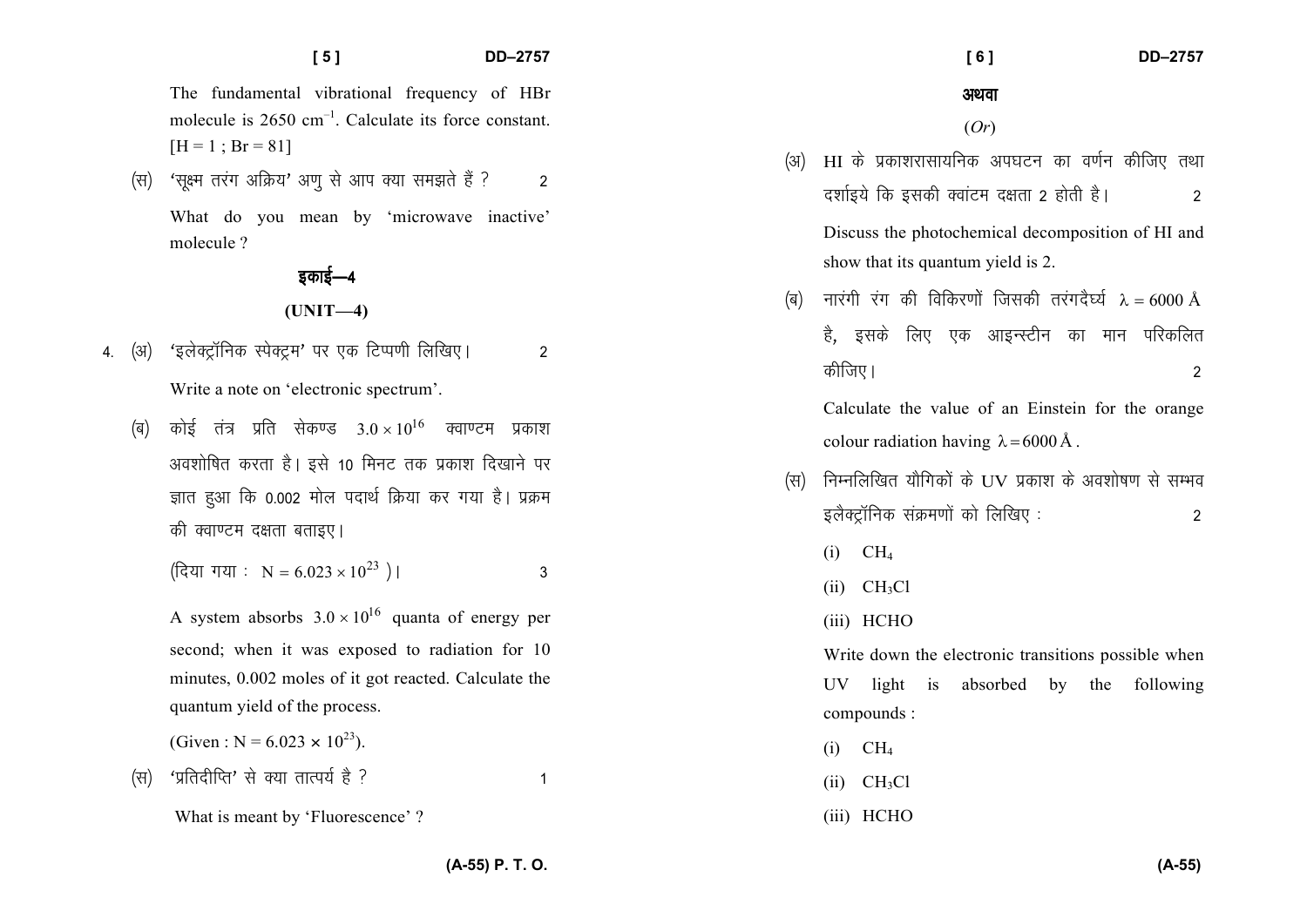The fundamental vibrational frequency of HBr molecule is  $2650 \text{ cm}^{-1}$ . Calculate its force constant.  $[H = 1 : Br = 81]$ 

(स) 'सूक्ष्म तरंग अक्रिय' अणू से आप क्या समझते हैं ?  $\mathfrak{p}$ 

 $[5]$ 

What do you mean by 'microwave inactive' molecule ?

> डकाई—4  $(UNIT-4)$

- 'इलेक्ट्रॉनिक स्पेक्ट्रम' पर एक टिप्पणी लिखिए। (अ)  $\overline{2}$  $4.$ Write a note on 'electronic spectrum'.
	- कोई तंत्र प्रति सेकण्ड  $3.0 \times 10^{16}$  क्वाण्टम प्रकाश (ৰ) अवशोषित करता है। इसे 10 मिनट तक प्रकाश दिखाने पर ज्ञात हुआ कि 0.002 मोल पदार्थ क्रिया कर गया है। प्रक्रम की क्वाण्टम दक्षता बताइए।

$$
(\text{देया गया : N = 6.023 × 1023) |
$$

A system absorbs  $3.0 \times 10^{16}$  quanta of energy per second; when it was exposed to radiation for 10 minutes, 0.002 moles of it got reacted. Calculate the quantum yield of the process.

(Given : N =  $6.023 \times 10^{23}$ ).

'प्रतिदीप्ति' से क्या तात्पर्य है ?  $(F)$ 

अथवा

 $I61$ 

 $(Or)$ 

(अ) HI के प्रकाशरासायनिक अपघटन का वर्णन कीजिए तथा दर्शाइये कि इसकी क्वांटम दक्षता 2 होती है।  $\overline{2}$ 

Discuss the photochemical decomposition of HI and show that its quantum yield is 2.

नारंगी रंग की विकिरणों जिसकी तरंगदैर्घ्य  $\lambda = 6000$  Å (ৰ) है, इसके लिए एक आइन्स्टीन का मान परिकलित कीजिए।  $\mathfrak{p}$ 

Calculate the value of an Einstein for the orange colour radiation having  $\lambda = 6000 \text{ Å}$ .

- निम्नलिखित यौगिकों के UV प्रकाश के अवशोषण से सम्भव (स) इलैक्ट्रॉनिक संक्रमणों को लिखिए : 2
	- $(i)$  CH<sub>4</sub>
	- $(ii)$  CH<sub>3</sub>Cl
	- (iii) HCHO

Write down the electronic transitions possible when UV light is absorbed by the following compounds:

- $(i)$  CH<sub>4</sub>
- $(ii)$  CH<sub>3</sub>Cl
- (iii) HCHO

(A-55) P. T. O.

 $\overline{1}$ 

What is meant by 'Fluorescence'?